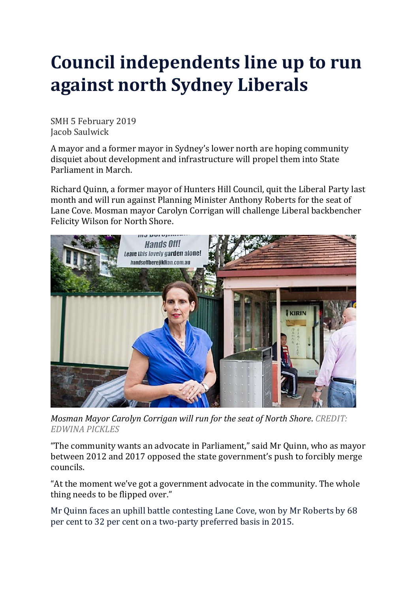## **Council independents line up to run against north Sydney Liberals**

SMH 5 February 2019 Jacob Saulwick

A mayor and a former mayor in Sydney's lower north are hoping community disquiet about development and infrastructure will propel them into State Parliament in March.

Richard Quinn, a former mayor of Hunters Hill Council, quit the Liberal Party last month and will run against Planning Minister Anthony Roberts for the seat of Lane Cove. Mosman mayor Carolyn Corrigan will challenge Liberal backbencher Felicity Wilson for North Shore[.](javascript:void(0);)



*Mosman Mayor Carolyn Corrigan will run for the seat of North Shore*. *CREDIT: EDWINA PICKLES*

"The community wants an advocate in Parliament," said Mr Quinn, who as mayor between 2012 and 2017 opposed the state government's push to forcibly merge councils.

"At the moment we've got a government advocate in the community. The whole thing needs to be flipped over."

Mr Quinn faces an uphill battle contesting Lane Cove, won by Mr Roberts by 68 per cent to 32 per cent on a two-party preferred basis in 2015[.](javascript:void(0);)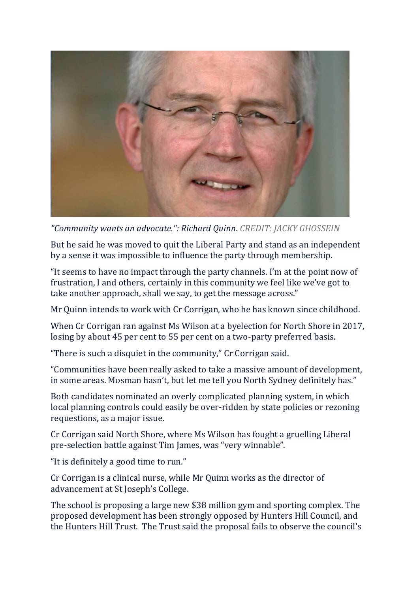

*"Community wants an advocate.": Richard Quinn*. *CREDIT: JACKY GHOSSEIN*

But he said he was moved to quit the Liberal Party and stand as an independent by a sense it was impossible to influence the party through membership.

"It seems to have no impact through the party channels. I'm at the point now of frustration, I and others, certainly in this community we feel like we've got to take another approach, shall we say, to get the message across."

Mr Quinn intends to work with Cr Corrigan, who he has known since childhood.

When Cr Corrigan ran against Ms Wilson at a byelection for North Shore in 2017, losing by about 45 per cent to 55 per cent on a two-party preferred basis.

"There is such a disquiet in the community," Cr Corrigan said.

"Communities have been really asked to take a massive amount of development, in some areas. Mosman hasn't, but let me tell you North Sydney definitely has."

Both candidates nominated an overly complicated planning system, in which local planning controls could easily be over-ridden by state policies or rezoning requestions, as a major issue.

Cr Corrigan said North Shore, where Ms Wilson has fought a gruelling Liberal pre-selection battle against Tim James, was "very winnable".

"It is definitely a good time to run."

Cr Corrigan is a clinical nurse, while Mr Quinn works as the director of advancement at St Joseph's College.

The school is proposing a large new \$38 million gym and sporting complex. The proposed development has been strongly opposed by Hunters Hill Council, and the Hunters Hill Trust. The Trust said the proposal fails to observe the council's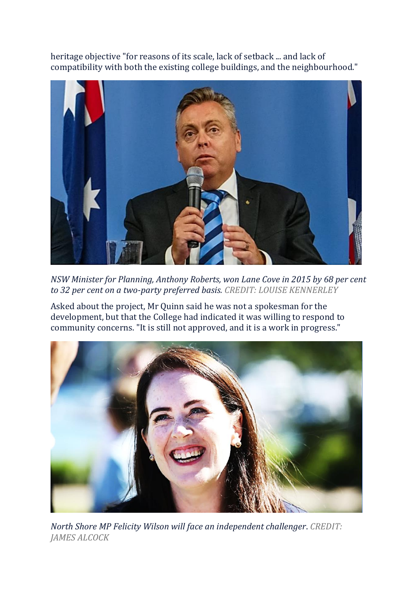heritage objective "for reasons of its scale, lack of setback ... and lack of compatibility with both the existing college buildings, and the neighbourhood.["](javascript:void(0);)



*NSW Minister for Planning, Anthony Roberts, won Lane Cove in 2015 by 68 per cent to 32 per cent on a two-party preferred basis. CREDIT: LOUISE KENNERLEY*

Asked about the project, Mr Quinn said he was not a spokesman for the development, but that the College had indicated it was willing to respond to community concerns. "It is still not approved, and it is a work in progress.["](javascript:void(0);)



*North Shore MP Felicity Wilson will face an independent challenger*. *CREDIT: JAMES ALCOCK*